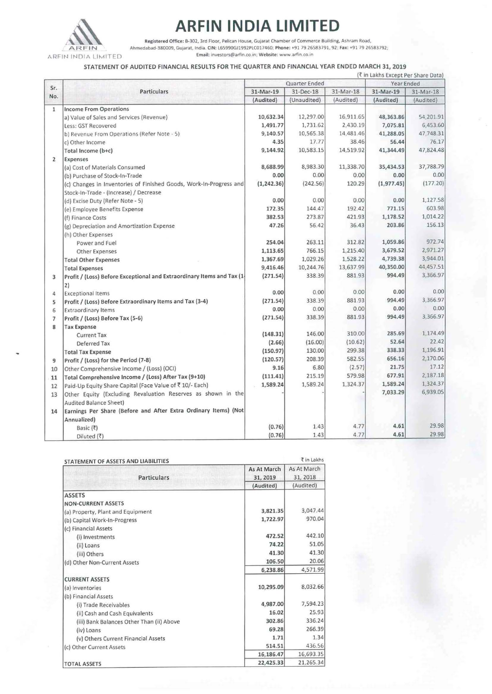

**ARFIN INDIA LIMITED**<br> **ARFIN Registered Office:** B-302, 3rd Floor, Pelican House, Gujarat Chamber of Commerce Building, P<br>
ARFIN Ahmedabad-380009, Gujarat, India. CIN: L65990G11992PLC017460; Phone: +91 79.26583791, 92; **Registered Office: 8·302, 3rd Floor, Pelican House, GuJarat Chamber of Commerce BUilding, Ashram Road,**  Ahmedabad-380009. Gujarat, India. CIN: L6S990GJ1992PLC017460; Phone: +91 79 26583791. 92; Fax: +91 79 26583792, **Email: investors@arftn.co.m Webs1te: www arfin.co.1n** 

### STATEMENT OF AUDITED FINANCIAL RESULTS FOR THE QUARTER AND FINANCIAL YEAR ENDED MARCH 31, 2019

|                | (₹ in Lakhs Except Per Share Data)                                     |               |             |           |             |           |
|----------------|------------------------------------------------------------------------|---------------|-------------|-----------|-------------|-----------|
|                | <b>Particulars</b><br>and flowings.                                    | Quarter Ended |             |           | Year Ended  |           |
| Sr.<br>No.     |                                                                        | 31-Mar-19     | 31-Dec-18   | 31-Mar-18 | 31-Mar-19   | 31-Mar-18 |
|                |                                                                        | (Audited)     | (Unaudited) | (Audited) | (Audited)   | (Audited) |
| $\mathbf{1}$   | <b>Income From Operations</b>                                          |               |             |           |             |           |
|                | a) Value of Sales and Services (Revenue)                               | 10,632.34     | 12,297.00   | 16,911.65 | 48,363.86   | 54,201.91 |
|                | Less: GST Recovered                                                    | 1,491.77      | 1,731.62    | 2,430.19  | 7,075.81    | 6,453.60  |
|                | b) Revenue From Operations (Refer Note - 5)                            | 9,140.57      | 10,565.38   | 14,481.46 | 41,288.05   | 47,748.31 |
|                | c) Other Income                                                        | 4.35          | 17.77       | 38.46     | 56.44       | 76.17     |
|                | Total Income (b+c)                                                     | 9,144.92      | 10,583.15   | 14,519.92 | 41,344.49   | 47,824.48 |
| $\overline{2}$ | Expenses                                                               |               |             |           |             |           |
|                | (a) Cost of Materials Consumed                                         | 8,688.99      | 8,983.30    | 11,338.70 | 35,434.53   | 37,788.79 |
|                | (b) Purchase of Stock-In-Trade                                         | 0.00          | 0.00        | 0.00      | 0.00        | 0.00      |
|                | (c) Changes in Inventories of Finished Goods, Work-In-Progress and     | (1, 242.36)   | (242.56)    | 120.29    | (1, 977.45) | (177.20)  |
|                | Stock-In-Trade - (Increase) / Decrease                                 |               |             |           |             |           |
|                | (d) Excise Duty (Refer Note - 5)                                       | 0.00          | 0.00        | 0.00      | 0.00        | 1,127.58  |
|                | (e) Employee Benefits Expense                                          | 172.35        | 144.47      | 192.42    | 771.15      | 603.98    |
|                | (f) Finance Costs                                                      | 382.53        | 273.87      | 421.93    | 1,178.52    | 1,014.22  |
|                | (g) Depreciation and Amortization Expense                              | 47.26         | 56.42       | 36.43     | 203.86      | 156.13    |
|                | (h) Other Expenses                                                     |               |             |           |             |           |
|                | Power and Fuel                                                         | 254.04        | 263.11      | 312.82    | 1,059.86    | 972.74    |
|                | Other Expenses                                                         | 1,113.65      | 766.15      | 1,215.40  | 3,679.52    | 2,971.27  |
|                | <b>Total Other Expenses</b>                                            | 1,367.69      | 1,029.26    | 1,528.22  | 4,739.38    | 3,944.01  |
|                | <b>Total Expenses</b>                                                  | 9,416.46      | 10,244.76   | 13,637.99 | 40,350.00   | 44,457.51 |
| 3              | Profit / (Loss) Before Exceptional and Extraordinary Items and Tax (1- | (271.54)      | 338.39      | 881.93    | 994.49      | 3,366.97  |
|                | 2)                                                                     |               |             |           |             |           |
| 4              | <b>Exceptional Items</b>                                               | 0.00          | 0.00        | 0.00      | 0.00        | 0.00      |
| 5              | Profit / (Loss) Before Extraordinary Items and Tax (3-4)               | (271.54)      | 338.39      | 881.93    | 994.49      | 3,366.97  |
| 6              | <b>Extraordinary Items</b>                                             | 0.00          | 0.00        | 0.00      | 0.00        | 0.00      |
| $\overline{7}$ | Profit / (Loss) Before Tax (5-6)                                       | (271.54)      | 338.39      | 881.93    | 994.49      | 3,366.97  |
| 8              | <b>Tax Expense</b>                                                     |               |             |           |             |           |
|                | <b>Current Tax</b>                                                     | (148.31)      | 146.00      | 310.00    | 285.69      | 1,174.49  |
|                | Deferred Tax                                                           | (2.66)        | (16.00)     | (10.62)   | 52.64       | 22.42     |
|                | <b>Total Tax Expense</b>                                               | (150.97)      | 130.00      | 299.38    | 338.33      | 1,196.91  |
| 9              | Profit / (Loss) for the Period (7-8)                                   | (120.57)      | 208.39      | 582.55    | 656.16      | 2,170.06  |
| 10             | Other Comprehensive Income / (Loss) (OCI)                              | 9.16          | 6.80        | (2.57)    | 21.75       | 17.12     |
| 11             | Total Comprehensive Income / (Loss) After Tax (9+10)                   | (111.41)      | 215.19      | 579.98    | 677.91      | 2,187.18  |
| 12             | Paid-Up Equity Share Capital (Face Value of ₹10/- Each)                | 1,589.24      | 1,589.24    | 1,324.37  | 1,589.24    | 1,324.37  |
| 13             | Other Equity (Excluding Revaluation Reserves as shown in the           |               |             |           | 7,033.29    | 6,939.05  |
|                | <b>Audited Balance Sheet)</b>                                          |               |             |           |             |           |
| 14             | Earnings Per Share (Before and After Extra Ordinary Items) (Not        |               |             |           |             |           |
|                | Annualized)                                                            |               |             |           |             |           |
|                | Basic $(\overline{\zeta})$                                             | (0.76)        | 1.43        | 4.77      | 4.61        | 29.98     |
|                | Diluted $(\bar{z})$                                                    | (0.76)        | 1.43        | 4.77      | 4.61        | 29.98     |

| STATEMENT OF ASSETS AND LIABILITIES |                         | ₹ in Lakhs              |  |
|-------------------------------------|-------------------------|-------------------------|--|
| <b>Particulars</b>                  | As At March<br>31, 2019 | As At March<br>31, 2018 |  |
|                                     | (Audited)               | (Audited)               |  |
| <b>ASSETS</b><br>NON-CURRENT ASSETS |                         |                         |  |
| (a) Property, Plant and Equipment   | 3,821.35                | 3,047.44                |  |
| (b) Capital Work-In-Progress        | 1,722.97                | 970.04                  |  |

| (b) Capital Work-In-Progress              | 1,722.97  | 970.04    |
|-------------------------------------------|-----------|-----------|
| (c) Financial Assets                      |           |           |
| (i) Investments                           | 472.52    | 442.10    |
| (ii) Loans                                | 74.22     | 51.05     |
| (iii) Others                              | 41.30     | 41.30     |
| (d) Other Non-Current Assets              | 106.50    | 20.06     |
|                                           | 6,238.86  | 4,571.99  |
| <b>CURRENT ASSETS</b>                     |           |           |
| (a) Inventories                           | 10,295.09 | 8,032.66  |
| (b) Financial Assets                      |           |           |
| (i) Trade Receivables                     | 4,987.00  | 7,594.23  |
| (ii) Cash and Cash Equivalents            | 16.02     | 25.93     |
| (iii) Bank Balances Other Than (ii) Above | 302.86    | 336.24    |
| (iv) Loans                                | 69.28     | 266.39    |
| (v) Others Current Financial Assets       | 1.71      | 1.34      |
| (c) Other Current Assets                  | 514.51    | 436.56    |
|                                           | 16,186.47 | 16,693.35 |
| <b>TOTAL ASSETS</b>                       | 22,425.33 | 21,265.34 |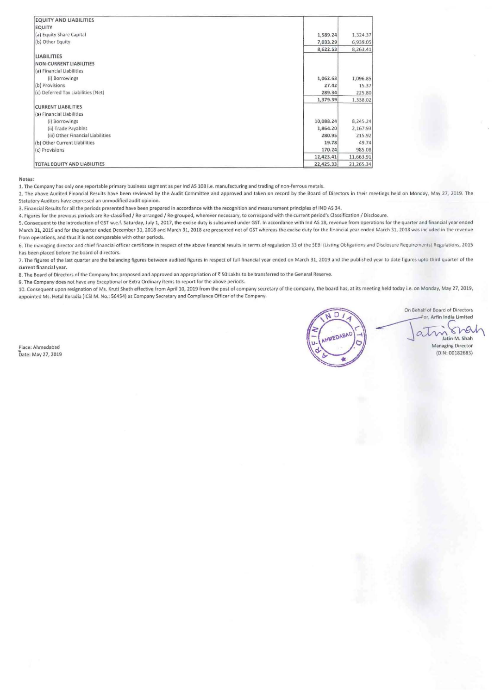| <b>EQUITY AND LIABILITIES</b>      |           |           |
|------------------------------------|-----------|-----------|
| <b>EQUITY</b>                      |           |           |
| (a) Equity Share Capital           | 1,589.24  | 1,324.37  |
| (b) Other Equity                   | 7,033.29  | 6,939.05  |
|                                    | 8,622.53  | 8,263.41  |
| <b>LIABILITIES</b>                 |           |           |
| <b>NON-CURRENT LIABILITIES</b>     |           |           |
| (a) Financial Liabilities          |           |           |
| (i) Borrowings                     | 1,062.63  | 1,096.85  |
| (b) Provisions                     | 27.42     | 15.37     |
| (c) Deferred Tax Liabilities (Net) | 289.34    | 225.80    |
|                                    | 1,379.39  | 1,338.02  |
| <b>CURRENT LIABILITIES</b>         |           |           |
| (a) Financial Liabilities          |           |           |
| (i) Borrowings                     | 10,088.24 | 8,245.24  |
| (ii) Trade Payables                | 1,864.20  | 2,167.93  |
| (iii) Other Financial Liabilities  | 280.95    | 215.92    |
| (b) Other Current Liabilities      | 19.78     | 49.74     |
| (c) Provisions                     | 170.24    | 985.08    |
|                                    | 12,423.41 | 11,663.91 |
| TOTAL EQUITY AND LIABILITIES       | 22,425.33 | 21,265.34 |

#### Notes:

1. The Company has only one reportable primary business segment as per lnd AS 108 I.e. manufacturing and trading of non-ferrous metals.

2. The above Audited Financial Results have been reviewed by the Audit Committee and approved and taken on record by the Board of Directors in their meetings held on Monday, May 27, 2019. The Statutory Auditors have expressed an unmodified audit opinion.

3. Financial Results for all the periods presented have been prepared in accordance with the recognition and measurement principles of IND AS 34.

4. Figures for the previous periods are Re-classified / Re-arranged / Re-grouped, wherever necessary, to correspond with the current period's Classification / Disclosure.

5. Consequent to the introduction of GST w.e.f. Saturday, July 1, 2017, the excise duty is subsumed under GST. In accordance with Ind AS 18, revenue from operations for the quarter and financial year ended March 31, 2019 and for the quarter ended December 31, 2018 and March 31, 201B are presented net of GST whereas the excise duty for the financial year ended March 31, 2018 was Included in the revenue **from operations, and thus** it is **not comparable with other periods.** 

6. The managing director and chief financial officer certificate in respect of the above financial results in terms of regulation 33 of the SEBI (Listing Obligations and Disclosure Requirements) Regulations. 2015 has been placed before the board of directors.

7. The figures of the last quarter are the balancing figures between audited figures in respect of full financial year ended on March 31, 2019 and the published year to date figures upto third quarter of the **current financial year.** 

8. The Board of Directors of the Company has proposed and approved an appropriation of ₹50 Lakhs to be transferred to the General Reserve.

9. The Company does not have any Exceptional or Extra Ordinary Items to report for the above periods.

10. Consequent upon resignation of Ms. Kruti Sheth effective from April10, 2019 from the post of company secretary of the company, the board has, at its meeting held today i.e. on Monday, May 27, 2019, appointed Ms. Hetal Koradia (ICSI M. No.: 56454) as Company Secretary and Compliance Officer of the Company.

Place: Ahmedabad Date: May 27, 2019



On Behalf ol Board of Directors On Behalf of Board of Directors<br>For, Arfin India Limited<br>atin M. Shah<br>Jatin M. Shah

Managing Director (DIN: 00182683)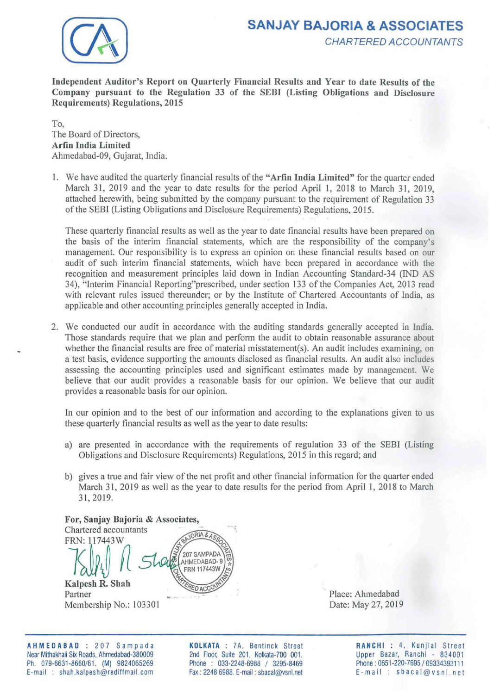

# **SANJAY BAJORIA & ASSOCIATES**  CHARTERED ACCOUNTANTS

Independent Auditor's Report on Quarterly Financial Results and Year to date Results of the Company pursuant to the Regulation 33 of the SEBI (Listing Obligations and Disclosure Requirements) Regulations, 2015

To, The Board of Directors, Arfin India Limited Ahmedabad-09, Gujarat, India.

I. We have audited the quarterly financial results of the "Arfin India Limited" for the quarter ended March 31, 2019 and the year to date results for the period April 1, 2018 to March 31, 2019, attached herewith, being submitted by the company pursuant to the requirement of Regulation 33 of the SEBI (Listing Obligations and Disclosure Requirements) Regulations, 2015.

These quarterly financial results as well as the year to date financial results have been prepared on the basis of the interim financial statements, which are the responsibility of the company's management. Our responsibility is to express an opinion on these financial results based on our audit of such interim financial statements, which have been prepared in accordance with the recognition and measurement principles laid down in Indian Accounting Standard-34 (IND AS 34), "Interim Financial Reporting"prescribed, under section 133 of the Companies Act, 2013 read with relevant rules issued thereunder; or by the Institute of Chartered Accountants of India, as applicable and other accounting principles generally accepted in India.

2. We conducted our audit in accordance with the auditing standards generally accepted in India. Those standards require that we plan and perform the audit to obtain reasonable assurance about whether the financial results are free of material misstatement(s). An audit includes examining, on a test basis, evidence supporting the amounts disclosed as financial results. An audit also includes assessing the accounting principles used and significant estimates made by management. We believe that our audit provides a reasonable basis for our opinion. We believe that our audit provides a reasonable basis for our opinion.

In our opinion and to the best of our information and according to the explanations given to us these quarterly financial results as well as the year to date results:

- a) are presented in accordance with the requirements of regulation 33 of the SEBI (Listing Obligations and Disclosure Requirements) Regulations, 2015 in this regard; and
- b) gives a true and fair view of the net profit and other financial information for the quarter ended March 31, 2019 as well as the year to date results for the period from April 1, 2018 to March 31,2019.

For, Sanjay Bajoria & Associates, Chartered accountants JORIA & A. FRN: 117443W 207 SAMPADA AHMEDABAD-9 **FRN 117443W** Kalpesh R. Shah Partner Membership No.: 103301

Place: Ahmedabad Date: May 27, 2019

AHMEDABAD : 207 Sampada Near Mithakhali Six Roads, Ahmedabad-380009 Ph. 079-6631-8660/61. (M) 9824065269 E-mail : shah.kalpesh@rediffmail.com

KOLKATA : ?A, Bentinck Street 2nd Floor, Suite 201, Kolkata-700 001. Phone : 033-2248-6988 / 3295-8469 Fax: 2248 6988. E-mail : sbacal@vsnl.net

RANCHI : 4, Kunjlal Street Upper Bazar, Ranchi - 834001 Phone: 0651-220-7695 / 09334393111 E-mail: sbacal@vsnl.net